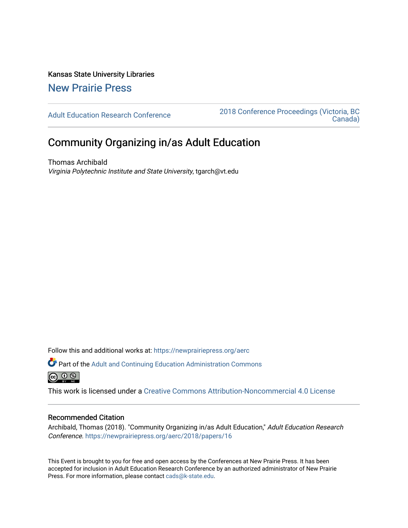Kansas State University Libraries [New Prairie Press](https://newprairiepress.org/) 

[Adult Education Research Conference](https://newprairiepress.org/aerc) [2018 Conference Proceedings \(Victoria, BC](https://newprairiepress.org/aerc/2018)  [Canada\)](https://newprairiepress.org/aerc/2018) 

# Community Organizing in/as Adult Education

Thomas Archibald Virginia Polytechnic Institute and State University, tgarch@vt.edu

Follow this and additional works at: [https://newprairiepress.org/aerc](https://newprairiepress.org/aerc?utm_source=newprairiepress.org%2Faerc%2F2018%2Fpapers%2F16&utm_medium=PDF&utm_campaign=PDFCoverPages)

Part of the [Adult and Continuing Education Administration Commons](http://network.bepress.com/hgg/discipline/789?utm_source=newprairiepress.org%2Faerc%2F2018%2Fpapers%2F16&utm_medium=PDF&utm_campaign=PDFCoverPages) @ 0 ®

This work is licensed under a [Creative Commons Attribution-Noncommercial 4.0 License](https://creativecommons.org/licenses/by-nc/4.0/)

# Recommended Citation

Archibald, Thomas (2018). "Community Organizing in/as Adult Education," Adult Education Research Conference.<https://newprairiepress.org/aerc/2018/papers/16>

This Event is brought to you for free and open access by the Conferences at New Prairie Press. It has been accepted for inclusion in Adult Education Research Conference by an authorized administrator of New Prairie Press. For more information, please contact [cads@k-state.edu.](mailto:cads@k-state.edu)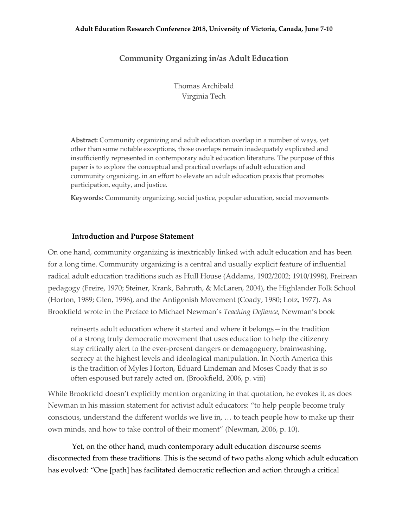#### **Adult Education Research Conference 2018, University of Victoria, Canada, June 7-10**

# **Community Organizing in/as Adult Education**

Thomas Archibald Virginia Tech

**Abstract:** Community organizing and adult education overlap in a number of ways, yet other than some notable exceptions, those overlaps remain inadequately explicated and insufficiently represented in contemporary adult education literature. The purpose of this paper is to explore the conceptual and practical overlaps of adult education and community organizing, in an effort to elevate an adult education praxis that promotes participation, equity, and justice.

**Keywords:** Community organizing, social justice, popular education, social movements

#### **Introduction and Purpose Statement**

On one hand, community organizing is inextricably linked with adult education and has been for a long time. Community organizing is a central and usually explicit feature of influential radical adult education traditions such as Hull House (Addams, 1902/2002; 1910/1998), Freirean pedagogy (Freire, 1970; Steiner, Krank, Bahruth, & McLaren, 2004), the Highlander Folk School (Horton, 1989; Glen, 1996), and the Antigonish Movement (Coady, 1980; Lotz, 1977). As Brookfield wrote in the Preface to Michael Newman's *Teaching Defiance*, Newman's book

reinserts adult education where it started and where it belongs—in the tradition of a strong truly democratic movement that uses education to help the citizenry stay critically alert to the ever-present dangers or demagoguery, brainwashing, secrecy at the highest levels and ideological manipulation. In North America this is the tradition of Myles Horton, Eduard Lindeman and Moses Coady that is so often espoused but rarely acted on. (Brookfield, 2006, p. viii)

While Brookfield doesn't explicitly mention organizing in that quotation, he evokes it, as does Newman in his mission statement for activist adult educators: "to help people become truly conscious, understand the different worlds we live in, … to teach people how to make up their own minds, and how to take control of their moment" (Newman, 2006, p. 10).

Yet, on the other hand, much contemporary adult education discourse seems disconnected from these traditions. This is the second of two paths along which adult education has evolved: "One [path] has facilitated democratic reflection and action through a critical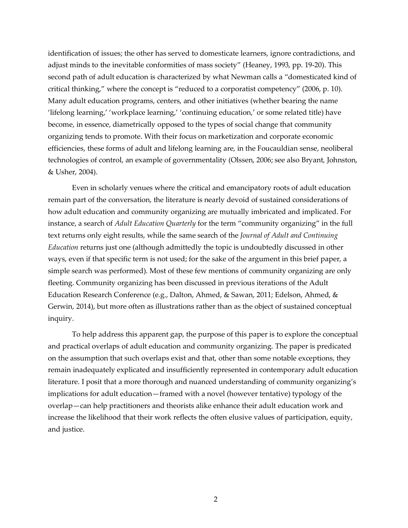identification of issues; the other has served to domesticate learners, ignore contradictions, and adjust minds to the inevitable conformities of mass society" (Heaney, 1993, pp. 19-20). This second path of adult education is characterized by what Newman calls a "domesticated kind of critical thinking," where the concept is "reduced to a corporatist competency" (2006, p. 10). Many adult education programs, centers, and other initiatives (whether bearing the name 'lifelong learning,' 'workplace learning,' 'continuing education,' or some related title) have become, in essence, diametrically opposed to the types of social change that community organizing tends to promote. With their focus on marketization and corporate economic efficiencies, these forms of adult and lifelong learning are, in the Foucauldian sense, neoliberal technologies of control, an example of governmentality (Olssen, 2006; see also Bryant, Johnston, & Usher, 2004).

Even in scholarly venues where the critical and emancipatory roots of adult education remain part of the conversation, the literature is nearly devoid of sustained considerations of how adult education and community organizing are mutually imbricated and implicated. For instance, a search of *Adult Education Quarterly* for the term "community organizing" in the full text returns only eight results, while the same search of the *Journal of Adult and Continuing Education* returns just one (although admittedly the topic is undoubtedly discussed in other ways, even if that specific term is not used; for the sake of the argument in this brief paper, a simple search was performed). Most of these few mentions of community organizing are only fleeting. Community organizing has been discussed in previous iterations of the Adult Education Research Conference (e.g., Dalton, Ahmed, & Sawan, 2011; Edelson, Ahmed, & Gerwin, 2014), but more often as illustrations rather than as the object of sustained conceptual inquiry.

To help address this apparent gap, the purpose of this paper is to explore the conceptual and practical overlaps of adult education and community organizing. The paper is predicated on the assumption that such overlaps exist and that, other than some notable exceptions, they remain inadequately explicated and insufficiently represented in contemporary adult education literature. I posit that a more thorough and nuanced understanding of community organizing's implications for adult education—framed with a novel (however tentative) typology of the overlap—can help practitioners and theorists alike enhance their adult education work and increase the likelihood that their work reflects the often elusive values of participation, equity, and justice.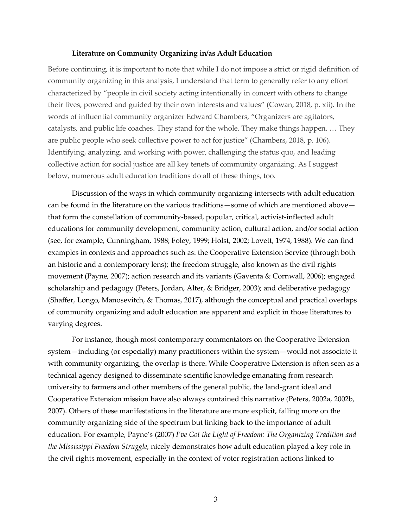## **Literature on Community Organizing in/as Adult Education**

Before continuing, it is important to note that while I do not impose a strict or rigid definition of community organizing in this analysis, I understand that term to generally refer to any effort characterized by "people in civil society acting intentionally in concert with others to change their lives, powered and guided by their own interests and values" (Cowan, 2018, p. xii). In the words of influential community organizer Edward Chambers, "Organizers are agitators, catalysts, and public life coaches. They stand for the whole. They make things happen. … They are public people who seek collective power to act for justice" (Chambers, 2018, p. 106). Identifying, analyzing, and working with power, challenging the status quo, and leading collective action for social justice are all key tenets of community organizing. As I suggest below, numerous adult education traditions do all of these things, too.

Discussion of the ways in which community organizing intersects with adult education can be found in the literature on the various traditions—some of which are mentioned above that form the constellation of community-based, popular, critical, activist-inflected adult educations for community development, community action, cultural action, and/or social action (see, for example, Cunningham, 1988; Foley, 1999; Holst, 2002; Lovett, 1974, 1988). We can find examples in contexts and approaches such as: the Cooperative Extension Service (through both an historic and a contemporary lens); the freedom struggle, also known as the civil rights movement (Payne, 2007); action research and its variants (Gaventa & Cornwall, 2006); engaged scholarship and pedagogy (Peters, Jordan, Alter, & Bridger, 2003); and deliberative pedagogy (Shaffer, Longo, Manosevitch, & Thomas, 2017), although the conceptual and practical overlaps of community organizing and adult education are apparent and explicit in those literatures to varying degrees.

For instance, though most contemporary commentators on the Cooperative Extension system—including (or especially) many practitioners within the system—would not associate it with community organizing, the overlap is there. While Cooperative Extension is often seen as a technical agency designed to disseminate scientific knowledge emanating from research university to farmers and other members of the general public, the land-grant ideal and Cooperative Extension mission have also always contained this narrative (Peters, 2002a, 2002b, 2007). Others of these manifestations in the literature are more explicit, falling more on the community organizing side of the spectrum but linking back to the importance of adult education. For example, Payne's (2007) *I've Got the Light of Freedom: The Organizing Tradition and the Mississippi Freedom Struggle*, nicely demonstrates how adult education played a key role in the civil rights movement, especially in the context of voter registration actions linked to

3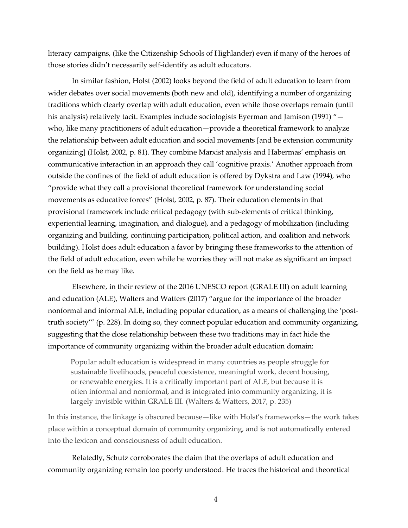literacy campaigns, (like the Citizenship Schools of Highlander) even if many of the heroes of those stories didn't necessarily self-identify as adult educators.

In similar fashion, Holst (2002) looks beyond the field of adult education to learn from wider debates over social movements (both new and old), identifying a number of organizing traditions which clearly overlap with adult education, even while those overlaps remain (until his analysis) relatively tacit. Examples include sociologists Eyerman and Jamison (1991) "who, like many practitioners of adult education—provide a theoretical framework to analyze the relationship between adult education and social movements [and be extension community organizing] (Holst, 2002, p. 81). They combine Marxist analysis and Habermas' emphasis on communicative interaction in an approach they call 'cognitive praxis.' Another approach from outside the confines of the field of adult education is offered by Dykstra and Law (1994), who "provide what they call a provisional theoretical framework for understanding social movements as educative forces" (Holst, 2002, p. 87). Their education elements in that provisional framework include critical pedagogy (with sub-elements of critical thinking, experiential learning, imagination, and dialogue), and a pedagogy of mobilization (including organizing and building, continuing participation, political action, and coalition and network building). Holst does adult education a favor by bringing these frameworks to the attention of the field of adult education, even while he worries they will not make as significant an impact on the field as he may like.

Elsewhere, in their review of the 2016 UNESCO report (GRALE III) on adult learning and education (ALE), Walters and Watters (2017) "argue for the importance of the broader nonformal and informal ALE, including popular education, as a means of challenging the 'posttruth society'" (p. 228). In doing so, they connect popular education and community organizing, suggesting that the close relationship between these two traditions may in fact hide the importance of community organizing within the broader adult education domain:

Popular adult education is widespread in many countries as people struggle for sustainable livelihoods, peaceful coexistence, meaningful work, decent housing, or renewable energies. It is a critically important part of ALE, but because it is often informal and nonformal, and is integrated into community organizing, it is largely invisible within GRALE III. (Walters & Watters, 2017, p. 235)

In this instance, the linkage is obscured because—like with Holst's frameworks—the work takes place within a conceptual domain of community organizing, and is not automatically entered into the lexicon and consciousness of adult education.

Relatedly, Schutz corroborates the claim that the overlaps of adult education and community organizing remain too poorly understood. He traces the historical and theoretical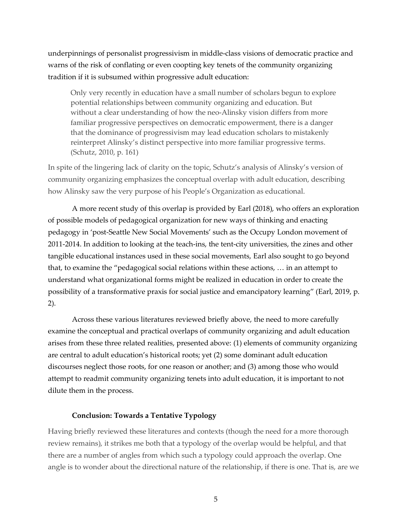underpinnings of personalist progressivism in middle-class visions of democratic practice and warns of the risk of conflating or even coopting key tenets of the community organizing tradition if it is subsumed within progressive adult education:

Only very recently in education have a small number of scholars begun to explore potential relationships between community organizing and education. But without a clear understanding of how the neo-Alinsky vision differs from more familiar progressive perspectives on democratic empowerment, there is a danger that the dominance of progressivism may lead education scholars to mistakenly reinterpret Alinsky's distinct perspective into more familiar progressive terms. (Schutz, 2010, p. 161)

In spite of the lingering lack of clarity on the topic, Schutz's analysis of Alinsky's version of community organizing emphasizes the conceptual overlap with adult education, describing how Alinsky saw the very purpose of his People's Organization as educational.

A more recent study of this overlap is provided by Earl (2018), who offers an exploration of possible models of pedagogical organization for new ways of thinking and enacting pedagogy in 'post-Seattle New Social Movements' such as the Occupy London movement of 2011-2014. In addition to looking at the teach-ins, the tent-city universities, the zines and other tangible educational instances used in these social movements, Earl also sought to go beyond that, to examine the "pedagogical social relations within these actions, … in an attempt to understand what organizational forms might be realized in education in order to create the possibility of a transformative praxis for social justice and emancipatory learning" (Earl, 2019, p. 2).

Across these various literatures reviewed briefly above, the need to more carefully examine the conceptual and practical overlaps of community organizing and adult education arises from these three related realities, presented above: (1) elements of community organizing are central to adult education's historical roots; yet (2) some dominant adult education discourses neglect those roots, for one reason or another; and (3) among those who would attempt to readmit community organizing tenets into adult education, it is important to not dilute them in the process.

## **Conclusion: Towards a Tentative Typology**

Having briefly reviewed these literatures and contexts (though the need for a more thorough review remains), it strikes me both that a typology of the overlap would be helpful, and that there are a number of angles from which such a typology could approach the overlap. One angle is to wonder about the directional nature of the relationship, if there is one. That is, are we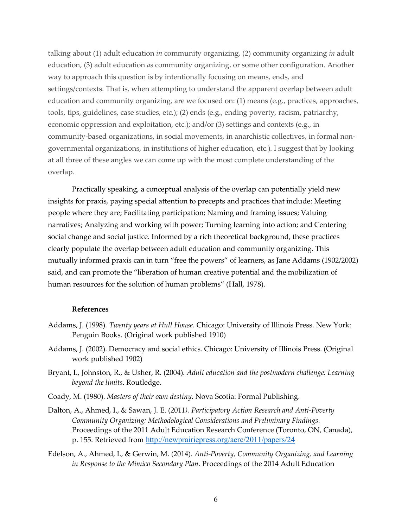talking about (1) adult education *in* community organizing, (2) community organizing *in* adult education, (3) adult education *as* community organizing, or some other configuration. Another way to approach this question is by intentionally focusing on means, ends, and settings/contexts. That is, when attempting to understand the apparent overlap between adult education and community organizing, are we focused on: (1) means (e.g., practices, approaches, tools, tips, guidelines, case studies, etc.); (2) ends (e.g., ending poverty, racism, patriarchy, economic oppression and exploitation, etc.); and/or (3) settings and contexts (e.g., in community-based organizations, in social movements, in anarchistic collectives, in formal nongovernmental organizations, in institutions of higher education, etc.). I suggest that by looking at all three of these angles we can come up with the most complete understanding of the overlap.

Practically speaking, a conceptual analysis of the overlap can potentially yield new insights for praxis, paying special attention to precepts and practices that include: Meeting people where they are; Facilitating participation; Naming and framing issues; Valuing narratives; Analyzing and working with power; Turning learning into action; and Centering social change and social justice. Informed by a rich theoretical background, these practices clearly populate the overlap between adult education and community organizing. This mutually informed praxis can in turn "free the powers" of learners, as Jane Addams (1902/2002) said, and can promote the "liberation of human creative potential and the mobilization of human resources for the solution of human problems" (Hall, 1978).

#### **References**

- Addams, J. (1998). *Twenty years at Hull House*. Chicago: University of Illinois Press. New York: Penguin Books. (Original work published 1910)
- Addams, J. (2002). Democracy and social ethics. Chicago: University of Illinois Press. (Original work published 1902)
- Bryant, I., Johnston, R., & Usher, R. (2004). *Adult education and the postmodern challenge: Learning beyond the limits*. Routledge.
- Coady, M. (1980). *Masters of their own destiny*. Nova Scotia: Formal Publishing.
- Dalton, A., Ahmed, I., & Sawan, J. E. (2011*). Participatory Action Research and Anti-Poverty Community Organizing: Methodological Considerations and Preliminary Findings.* Proceedings of the 2011 Adult Education Research Conference (Toronto, ON, Canada), p. 155. Retrieved from http://newprairiepress.org/aerc/2011/papers/24
- Edelson, A., Ahmed, I., & Gerwin, M. (2014). *Anti-Poverty, Community Organizing, and Learning in Response to the Mimico Secondary Plan*. Proceedings of the 2014 Adult Education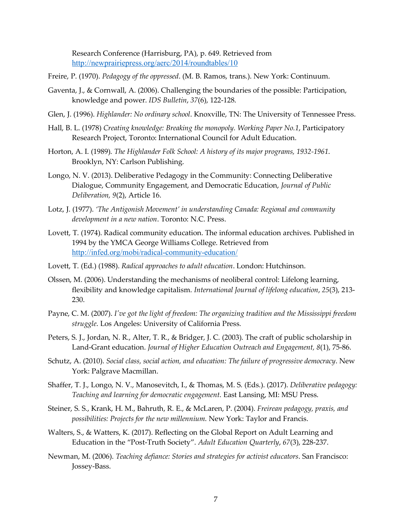Research Conference (Harrisburg, PA), p. 649. Retrieved from http://newprairiepress.org/aerc/2014/roundtables/10

- Freire, P. (1970). *Pedagogy of the oppressed*. (M. B. Ramos, trans.). New York: Continuum.
- Gaventa, J., & Cornwall, A. (2006). Challenging the boundaries of the possible: Participation, knowledge and power. *IDS Bulletin*, *37*(6), 122-128.
- Glen, J. (1996). *Highlander: No ordinary school*. Knoxville, TN: The University of Tennessee Press.
- Hall, B. L. (1978) *Creating knowledge: Breaking the monopoly. Working Paper No.1*, Participatory Research Project, Toronto: International Council for Adult Education.
- Horton, A. I. (1989). *The Highlander Folk School: A history of its major programs, 1932-1961*. Brooklyn, NY: Carlson Publishing.
- Longo, N. V. (2013). Deliberative Pedagogy in the Community: Connecting Deliberative Dialogue, Community Engagement, and Democratic Education, *Journal of Public Deliberation, 9*(2), Article 16.
- Lotz, J. (1977). *'The Antigonish Movement' in understanding Canada: Regional and community development in a new nation*. Toronto: N.C. Press.
- Lovett, T. (1974). Radical community education. The informal education archives. Published in 1994 by the YMCA George Williams College. Retrieved from http://infed.org/mobi/radical-community-education/
- Lovett, T. (Ed.) (1988). *Radical approaches to adult education*. London: Hutchinson.
- Olssen, M. (2006). Understanding the mechanisms of neoliberal control: Lifelong learning, flexibility and knowledge capitalism. *International Journal of lifelong education*, *25*(3), 213- 230.
- Payne, C. M. (2007). *I've got the light of freedom: The organizing tradition and the Mississippi freedom struggle*. Los Angeles: University of California Press.
- Peters, S. J., Jordan, N. R., Alter, T. R., & Bridger, J. C. (2003). The craft of public scholarship in Land-Grant education. *Journal of Higher Education Outreach and Engagement, 8*(1), 75-86.
- Schutz, A. (2010). *Social class, social action, and education: The failure of progressive democracy*. New York: Palgrave Macmillan.
- Shaffer, T. J., Longo, N. V., Manosevitch, I., & Thomas, M. S. (Eds.). (2017). *Deliberative pedagogy: Teaching and learning for democratic engagement*. East Lansing, MI: MSU Press.
- Steiner, S. S., Krank, H. M., Bahruth, R. E., & McLaren, P. (2004). *Freirean pedagogy, praxis, and possibilities: Projects for the new millennium*. New York: Taylor and Francis.
- Walters, S., & Watters, K. (2017). Reflecting on the Global Report on Adult Learning and Education in the "Post-Truth Society". *Adult Education Quarterly*, *67*(3), 228-237.
- Newman, M. (2006). *Teaching defiance: Stories and strategies for activist educators*. San Francisco: Jossey-Bass.